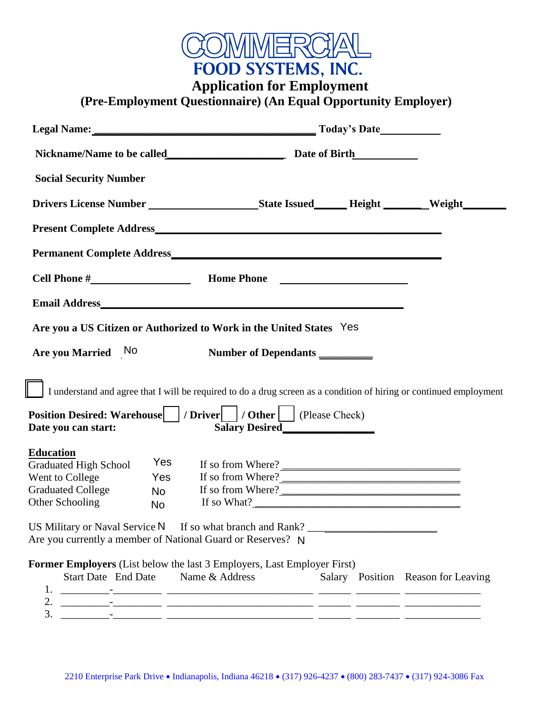

**Application for Employment** 

 **(Pre-Employment Questionnaire) (An Equal Opportunity Employer)** 

| <b>Social Security Number</b>                   |                                                                                                                                                 |                      |                                    |
|-------------------------------------------------|-------------------------------------------------------------------------------------------------------------------------------------------------|----------------------|------------------------------------|
|                                                 |                                                                                                                                                 |                      |                                    |
|                                                 |                                                                                                                                                 |                      |                                    |
|                                                 |                                                                                                                                                 |                      |                                    |
|                                                 |                                                                                                                                                 |                      |                                    |
|                                                 |                                                                                                                                                 |                      |                                    |
|                                                 | Are you a US Citizen or Authorized to Work in the United States Yes                                                                             |                      |                                    |
| Are you Married No                              |                                                                                                                                                 | Number of Dependants |                                    |
|                                                 | I understand and agree that I will be required to do a drug screen as a condition of hiring or continued employment                             |                      |                                    |
| Date you can start:                             | Position Desired: Warehouse   / Driver   / Other   (Please Check)                                                                               | Salary Desired       |                                    |
| <b>Education</b>                                |                                                                                                                                                 |                      |                                    |
| <b>Graduated High School</b><br>Went to College | Yes<br>Yes                                                                                                                                      | If so from Where?    |                                    |
| <b>Graduated College</b>                        | <b>No</b>                                                                                                                                       | If so from Where?    |                                    |
| Other Schooling                                 | <b>No</b>                                                                                                                                       |                      |                                    |
|                                                 | US Military or Naval Service N If so what branch and Rank? _____________________<br>Are you currently a member of National Guard or Reserves? N |                      |                                    |
|                                                 | Former Employers (List below the last 3 Employers, Last Employer First)                                                                         |                      |                                    |
| 1.                                              | Start Date End Date Name & Address                                                                                                              |                      | Salary Position Reason for Leaving |
|                                                 |                                                                                                                                                 |                      |                                    |
|                                                 |                                                                                                                                                 |                      |                                    |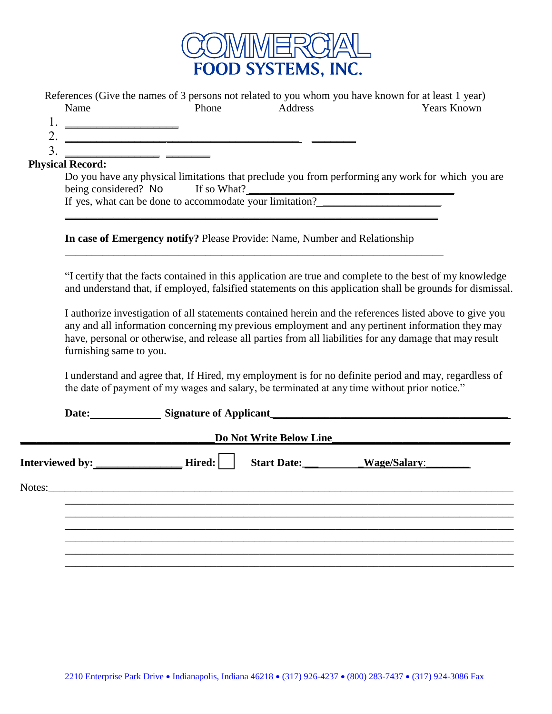

| Name                            | Phone                                                                                        | Address                                        | References (Give the names of 3 persons not related to you whom you have known for at least 1 year)<br><b>Years Known</b>                                                                                                      |
|---------------------------------|----------------------------------------------------------------------------------------------|------------------------------------------------|--------------------------------------------------------------------------------------------------------------------------------------------------------------------------------------------------------------------------------|
| $1. \underline{\hspace{1.5cm}}$ |                                                                                              |                                                |                                                                                                                                                                                                                                |
|                                 | $\frac{2}{3}$ .                                                                              |                                                |                                                                                                                                                                                                                                |
| <b>Physical Record:</b>         |                                                                                              |                                                |                                                                                                                                                                                                                                |
|                                 |                                                                                              |                                                | Do you have any physical limitations that preclude you from performing any work for which you are                                                                                                                              |
|                                 | being considered? No If so What?<br>If yes, what can be done to accommodate your limitation? |                                                |                                                                                                                                                                                                                                |
|                                 |                                                                                              |                                                |                                                                                                                                                                                                                                |
|                                 |                                                                                              |                                                |                                                                                                                                                                                                                                |
|                                 | In case of Emergency notify? Please Provide: Name, Number and Relationship                   |                                                |                                                                                                                                                                                                                                |
|                                 |                                                                                              |                                                |                                                                                                                                                                                                                                |
|                                 |                                                                                              |                                                | "I certify that the facts contained in this application are true and complete to the best of my knowledge                                                                                                                      |
|                                 |                                                                                              |                                                | and understand that, if employed, falsified statements on this application shall be grounds for dismissal.                                                                                                                     |
|                                 |                                                                                              |                                                | I authorize investigation of all statements contained herein and the references listed above to give you                                                                                                                       |
|                                 |                                                                                              |                                                | any and all information concerning my previous employment and any pertinent information they may                                                                                                                               |
| furnishing same to you.         |                                                                                              |                                                | have, personal or otherwise, and release all parties from all liabilities for any damage that may result                                                                                                                       |
|                                 |                                                                                              |                                                |                                                                                                                                                                                                                                |
|                                 | the date of payment of my wages and salary, be terminated at any time without prior notice." |                                                | I understand and agree that, If Hired, my employment is for no definite period and may, regardless of                                                                                                                          |
|                                 |                                                                                              |                                                | Date: Signature of Applicant Signature of Applicant Signature of Applicant Signature of Applicant Signature of Applicant Signature of Applicant Signature of Applicant Signature of Applicant Signature of Applicant Signature |
|                                 |                                                                                              | Do Not Write Below Line__                      |                                                                                                                                                                                                                                |
|                                 |                                                                                              | Start Date: ____________Wage/Salary: _________ |                                                                                                                                                                                                                                |
|                                 |                                                                                              |                                                |                                                                                                                                                                                                                                |
|                                 |                                                                                              |                                                |                                                                                                                                                                                                                                |
|                                 |                                                                                              |                                                |                                                                                                                                                                                                                                |
|                                 |                                                                                              |                                                |                                                                                                                                                                                                                                |
|                                 |                                                                                              |                                                |                                                                                                                                                                                                                                |
|                                 |                                                                                              |                                                |                                                                                                                                                                                                                                |